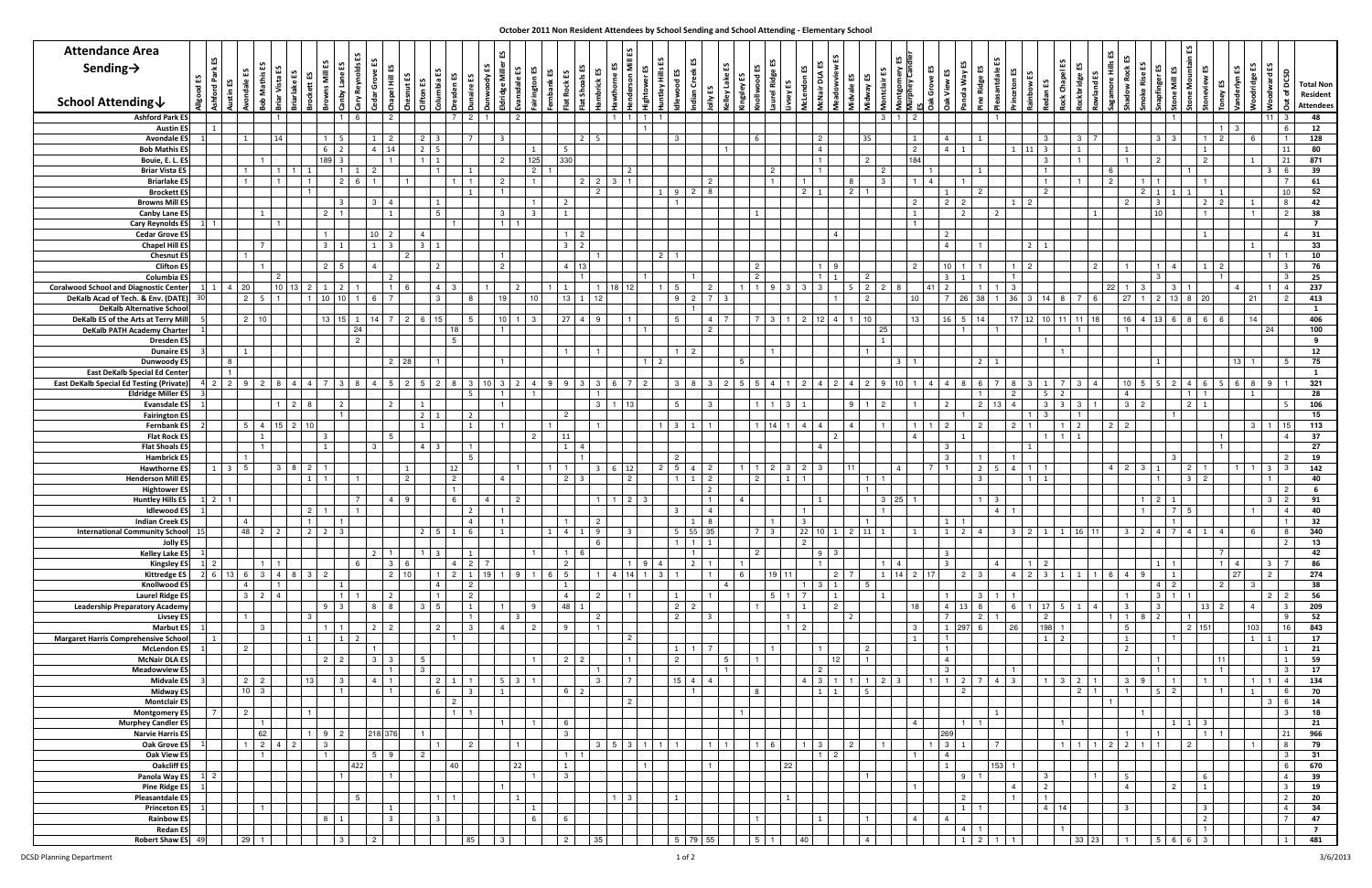| <b>Attendance Area</b>                                                            |                  |                     |                                                                                        |                           |                |                |                |                        |                |                                   |                 |                       |                                  | £S                      |                                 |                 |                              |                |               |                                                                 |                |                            |                                  |    |                |                |            |                |                     |                               |                 |                                             |                                                     |                                     |                   |                               |                                 |                |                                    |                       |                                  |                          |                |                       |                |                                  |                              |
|-----------------------------------------------------------------------------------|------------------|---------------------|----------------------------------------------------------------------------------------|---------------------------|----------------|----------------|----------------|------------------------|----------------|-----------------------------------|-----------------|-----------------------|----------------------------------|-------------------------|---------------------------------|-----------------|------------------------------|----------------|---------------|-----------------------------------------------------------------|----------------|----------------------------|----------------------------------|----|----------------|----------------|------------|----------------|---------------------|-------------------------------|-----------------|---------------------------------------------|-----------------------------------------------------|-------------------------------------|-------------------|-------------------------------|---------------------------------|----------------|------------------------------------|-----------------------|----------------------------------|--------------------------|----------------|-----------------------|----------------|----------------------------------|------------------------------|
| Sending $\rightarrow$                                                             |                  | Park ES             |                                                                                        |                           | ∐              |                |                |                        |                |                                   |                 | చ                     |                                  | Miller                  |                                 | జ               |                              | ៊              |               |                                                                 |                | 舌                          |                                  |    |                |                |            |                |                     | ntgomery ES<br>rphey Candler  |                 | చ                                           | <u>ی</u>                                            | ≞                                   |                   |                               | చ<br>$\overline{\bullet}$       |                |                                    |                       |                                  |                          |                |                       |                |                                  |                              |
|                                                                                   | ដ<br>ੵਫ਼         | ۳J<br>g             |                                                                                        |                           |                | చ              | Ξ<br>ஜ         | ane                    |                |                                   | ٢S              | ibia                  | ង ន                              | -ਰੋ                     | 음                               |                 |                              | Sho            |               | ទួល                                                             | Hills          | င်<br>हु                   |                                  | ¥€ |                |                |            | ₩              | జ                   |                               | Grove ES        | Vay<br>으                                    | tidge                                               |                                     |                   |                               |                                 |                |                                    |                       | $\overline{5}$                   |                          |                | rlyn ES<br>dge        | odward ES      | $rac{5}{2}$                      | <b>Total Non</b>             |
| <b>School Attending↓</b>                                                          |                  | 들                   |                                                                                        |                           |                |                |                |                        |                |                                   |                 |                       |                                  |                         |                                 |                 |                              |                |               |                                                                 |                |                            |                                  |    |                |                |            |                |                     |                               |                 |                                             |                                                     |                                     |                   |                               |                                 |                |                                    |                       |                                  |                          |                |                       |                | ৳<br>ă.                          | Resident<br><b>Attendees</b> |
| <b>Ashford Park ES</b>                                                            |                  |                     |                                                                                        |                           |                |                |                |                        |                | 2                                 |                 |                       | - 2                              |                         | $\overline{2}$                  |                 |                              |                |               |                                                                 |                |                            |                                  |    |                |                |            |                |                     | 3                             | $\overline{2}$  |                                             |                                                     |                                     |                   |                               |                                 |                |                                    |                       |                                  |                          |                |                       |                | 3                                | 48                           |
| <b>Austin E</b><br><b>Avondale ES</b>                                             |                  |                     | $\mathbf{1}$                                                                           |                           | 14             |                |                |                        |                |                                   |                 |                       | $\overline{7}$                   | $\overline{\mathbf{3}}$ |                                 |                 |                              | $\overline{2}$ |               |                                                                 |                | $\mathbf{B}$               |                                  |    |                |                |            |                | 35                  |                               |                 |                                             |                                                     |                                     |                   | -3                            |                                 | $3 \mid 7$     |                                    |                       | $3 \mid 3$                       |                          | $\overline{2}$ | 3<br>- 6              |                | 6<br>$\mathbf{1}$                | 12<br>128                    |
| <b>Bob Mathis E</b>                                                               |                  |                     |                                                                                        |                           |                |                | 6              | $\overline{2}$         |                |                                   |                 |                       |                                  |                         |                                 | $\mathbf{1}$    |                              |                |               |                                                                 |                |                            |                                  |    |                |                |            |                |                     |                               | $\overline{2}$  | $\Delta$                                    |                                                     |                                     | $1 \t11$          |                               |                                 |                |                                    |                       |                                  |                          |                |                       |                | 11                               | 80                           |
| Bouie, E. L. ES<br><b>Briar Vista E</b>                                           |                  |                     |                                                                                        |                           |                |                | 189            | $\mathbf{R}$           |                |                                   |                 |                       |                                  | $\overline{2}$          |                                 | 125<br>$2 \mid$ | 330                          |                |               |                                                                 |                |                            |                                  |    |                |                |            |                | 2                   | $\mathcal{P}$                 | 184             |                                             |                                                     |                                     |                   | $\cdot$ 3                     |                                 |                |                                    |                       | $\overline{2}$                   |                          |                |                       |                | 21<br>6                          | 871<br>39                    |
| <b>Briarlake ES</b>                                                               |                  |                     |                                                                                        |                           |                |                |                | $\overline{2}$         |                |                                   |                 |                       |                                  | $\overline{2}$          |                                 |                 |                              | $\overline{2}$ | $\mathcal{B}$ |                                                                 |                |                            | $\overline{2}$                   |    |                |                |            |                |                     |                               |                 |                                             |                                                     |                                     |                   |                               |                                 |                |                                    |                       |                                  |                          |                |                       |                |                                  | 61                           |
| <b>Brockett ES</b><br><b>Browns Mill E</b>                                        |                  |                     |                                                                                        |                           |                |                |                | 3                      |                | -3<br>$\overline{a}$              |                 |                       |                                  |                         |                                 |                 | $\overline{2}$               |                |               |                                                                 |                |                            | 8<br>$\overline{2}$              |    |                |                |            |                |                     |                               | $\overline{2}$  | $2^{\circ}$<br>$\overline{2}$               |                                                     |                                     | $1 \mid 2$        |                               |                                 |                |                                    | $2 \mid 1$            | $\overline{\mathbf{3}}$          |                          | $\overline{2}$ |                       |                | 10<br>8                          | 52<br>42                     |
| <b>Canby Lane ES</b>                                                              |                  |                     |                                                                                        |                           |                |                |                | $2 \mid 1$             |                |                                   |                 | 5                     |                                  | $\mathbf{3}$            |                                 |                 | $\mathbf{1}$                 |                |               |                                                                 |                |                            |                                  |    |                |                |            |                |                     |                               |                 | $\overline{2}$                              |                                                     | $\mathbf{2}$                        |                   |                               |                                 | $\overline{1}$ |                                    |                       | 10 <sup>1</sup>                  |                          |                | - 1                   |                | 2                                | 38                           |
| <b>Cary Reynolds ES</b><br><b>Cedar Grove ES</b>                                  |                  | $\overline{1}$      |                                                                                        |                           |                |                |                |                        |                | 10 <sup>°</sup><br>$\overline{2}$ |                 |                       |                                  | $\blacksquare$          |                                 |                 |                              | $\sqrt{2}$     |               |                                                                 |                |                            |                                  |    |                |                |            |                |                     |                               | - 1             | $\overline{2}$                              |                                                     |                                     |                   |                               |                                 |                |                                    |                       |                                  |                          |                |                       |                |                                  | $\overline{7}$<br>31         |
| Chapel Hill E                                                                     |                  |                     |                                                                                        |                           |                |                | 3 <sup>1</sup> |                        |                |                                   |                 |                       |                                  |                         |                                 |                 | $3 \mid 2$                   |                |               |                                                                 |                |                            |                                  |    |                |                |            |                |                     |                               |                 | $\overline{4}$                              |                                                     |                                     | $\overline{2}$    |                               |                                 |                |                                    |                       |                                  |                          |                |                       |                |                                  | 33                           |
| <b>Chesnut ES</b><br><b>Clifton ES</b>                                            |                  |                     |                                                                                        |                           |                |                |                | $2 \mid 5$             |                | -4                                | $\overline{2}$  |                       |                                  | $\overline{2}$          |                                 |                 | $4 \mid 13$                  |                |               |                                                                 | $\overline{2}$ |                            |                                  |    |                |                |            |                |                     |                               | $\overline{2}$  | 10                                          |                                                     |                                     |                   |                               |                                 | $\overline{2}$ |                                    |                       | $1 \quad 4$                      |                          | $\overline{2}$ |                       |                |                                  | 10<br>76                     |
| Columbia E                                                                        |                  |                     |                                                                                        |                           |                |                |                |                        |                | $\overline{2}$                    |                 |                       |                                  |                         |                                 |                 |                              |                |               |                                                                 |                |                            |                                  |    |                |                |            |                | $\overline{2}$      |                               |                 | $\mathbf{R}$                                |                                                     |                                     |                   |                               |                                 |                |                                    |                       | $\mathbf{3}$                     |                          |                |                       |                | 3                                | 25                           |
| <b>Coralwood School and Diagnostic Cente</b><br>DeKalb Acad of Tech. & Env. (DATE |                  |                     | 1 4 20<br>2 <sup>1</sup>                                                               |                           | $10 \mid 13$   |                | 1<br>10        | $\overline{2}$<br>10 I |                |                                   |                 |                       |                                  | 19                      | $\mathcal{P}$                   | 10 <sup>1</sup> | 13 <sup>1</sup>              |                | 18            | 12 <sub>1</sub>                                                 |                | <b>Q</b>                   | $\overline{2}$<br>$\overline{7}$ |    |                | 3              |            |                | 2 <sup>1</sup><br>2 | $\overline{2}$                | 41<br>10        | $\overline{2}$<br>$\overline{7}$<br>26      | $\mathbf{1}$<br>38                                  | 1   3<br>$1 \mid 36 \mid 3 \mid 14$ |                   |                               | 8                               | 6              | 22 <sub>1</sub><br>27 <sup>1</sup> | - 3<br>$\overline{1}$ | -3<br>$2 \mid 13 \mid 8$         |                          | 20             | $\overline{4}$<br> 21 |                | $\overline{4}$<br>$\overline{2}$ | 237<br>413                   |
| <b>DeKalb Alternative Schoo</b>                                                   |                  |                     |                                                                                        |                           |                |                |                |                        |                |                                   |                 |                       |                                  |                         |                                 |                 |                              |                |               |                                                                 |                |                            |                                  |    |                |                |            |                |                     |                               |                 |                                             |                                                     |                                     |                   |                               |                                 |                |                                    |                       |                                  |                          |                |                       |                |                                  | $\mathbf{1}$                 |
| DeKalb ES of the Arts at Terry Mil<br><b>DeKalb PATH Academy Charte</b>           |                  |                     | $2 \mid 10$                                                                            |                           |                |                | 13             | 15 <sup>1</sup>        | 24             | $1 \mid 14 \mid 7 \mid 2$         |                 | 15 <sup>1</sup><br>18 | - 5                              | 10<br>$\overline{1}$    |                                 | 3               | $27 \quad 4$                 |                |               |                                                                 |                |                            | $\overline{4}$<br>$\overline{2}$ |    |                |                | 1 2 12 4   |                | 10                  | 25                            | 13              | 16<br>5 <sup>5</sup>                        | 14                                                  |                                     |                   |                               | 17 12 10 11 11                  | 18             | 16 <sup>1</sup>                    |                       | $4 \quad 13 \quad 6$             |                          | 66             | 14                    | 24             |                                  | 406<br>100                   |
| <b>Dresden ES</b>                                                                 |                  |                     |                                                                                        |                           |                |                |                |                        | $\overline{2}$ |                                   |                 | -5                    |                                  |                         |                                 |                 |                              |                |               |                                                                 |                |                            |                                  |    |                |                |            |                |                     | 1                             |                 |                                             |                                                     |                                     |                   |                               |                                 |                |                                    |                       |                                  |                          |                |                       |                |                                  | 9                            |
| <b>Dunaire ES</b><br>Dunwoody ES                                                  |                  |                     | $\mathbf{1}$<br>8                                                                      |                           |                |                |                |                        |                | 2 28                              |                 |                       |                                  | $\overline{1}$          |                                 |                 |                              |                |               |                                                                 |                | -2                         |                                  |    |                |                |            |                |                     | $\mathbf{R}$                  |                 |                                             | 2                                                   |                                     |                   |                               |                                 |                |                                    |                       | $\mathbf{1}$                     |                          |                | $13 \quad 1$          |                | -5                               | 12<br>75                     |
| East DeKalb Special Ed Cente                                                      |                  |                     |                                                                                        |                           |                |                |                |                        |                |                                   |                 |                       |                                  |                         |                                 |                 |                              |                |               |                                                                 |                |                            |                                  |    |                |                |            |                |                     |                               |                 |                                             |                                                     |                                     |                   |                               |                                 |                |                                    |                       |                                  |                          |                |                       |                |                                  | $\mathbf{1}$                 |
| <b>East DeKalb Special Ed Testing (Private</b><br><b>Eldridge Miller ES</b>       |                  | $2 \mid 2 \mid$     |                                                                                        |                           |                |                |                |                        |                |                                   |                 |                       |                                  |                         |                                 |                 |                              |                |               |                                                                 |                |                            | 3                                |    |                |                |            |                |                     |                               |                 |                                             |                                                     |                                     |                   |                               |                                 |                |                                    | -5                    |                                  |                          |                | 6                     |                |                                  | 321<br>28                    |
| Evansdale B                                                                       |                  |                     |                                                                                        |                           |                |                |                | $\overline{2}$         |                | 2 <sup>1</sup>                    |                 |                       |                                  | $\overline{1}$          |                                 |                 |                              |                | -3 I          | $1 \mid 13 \mid$                                                |                | -5                         | 3                                |    |                | 3 <sup>1</sup> |            |                |                     | $\overline{2}$                |                 |                                             | $\overline{2}$                                      | 13                                  |                   | -3                            | $-3$                            |                | $\mathbf{3}$                       | $\overline{2}$        |                                  | $\mathcal{P}$            |                |                       |                | $5^{\circ}$                      | 106                          |
| <b>Fairington E</b><br>Fernbank I                                                 |                  |                     |                                                                                        | $5 \mid 4 \mid 15 \mid 2$ |                |                |                | $\overline{1}$         |                |                                   |                 |                       | $\overline{\phantom{a}}$         | $\overline{1}$          |                                 |                 | -2                           |                |               |                                                                 |                |                            |                                  |    |                | $14$ 1 $4$     |            |                |                     |                               |                 |                                             | $\overline{2}$                                      | 2 <sup>1</sup>                      |                   |                               |                                 |                |                                    |                       |                                  |                          |                | $\mathbf{3}$          |                |                                  | 15<br>113                    |
| Flat Rock E                                                                       |                  |                     |                                                                                        |                           |                |                | 3              |                        |                |                                   |                 |                       |                                  |                         |                                 | 2 <sup>1</sup>  | 11                           |                |               |                                                                 |                |                            |                                  |    |                |                |            |                |                     |                               |                 |                                             |                                                     |                                     |                   |                               |                                 |                |                                    |                       |                                  |                          |                |                       |                |                                  | 37                           |
| <b>Flat Shoals E</b><br><b>Hambrick ES</b>                                        |                  |                     |                                                                                        |                           |                |                |                |                        |                |                                   |                 |                       | 5                                |                         |                                 |                 |                              |                |               |                                                                 |                |                            |                                  |    |                |                |            |                |                     |                               |                 |                                             |                                                     |                                     |                   |                               |                                 |                |                                    |                       | -3                               |                          |                |                       |                | 2                                | 27<br>19                     |
| <b>Hawthorne ES</b>                                                               |                  |                     | $1 \quad 3 \quad 5$                                                                    |                           |                |                |                |                        |                |                                   | $\vert 1 \vert$ |                       | 12                               |                         |                                 |                 |                              |                | 6             | 12                                                              | $\overline{2}$ | 5<br>$\overline{4}$        | $\overline{c}$                   |    |                | 3 <sup>1</sup> | 2          |                |                     |                               | $\overline{7}$  |                                             | $\overline{2}$                                      |                                     |                   |                               |                                 |                |                                    | $\mathbf{B}$          |                                  |                          |                | $1 \quad 1$           | $\overline{3}$ | 3                                | 142                          |
| <b>Henderson Mill E</b><br><b>Hightower E</b>                                     |                  |                     |                                                                                        |                           |                |                |                |                        |                |                                   | $\overline{2}$  |                       | 2 <sup>1</sup>                   | $\overline{4}$          |                                 |                 | $2 \mid 3$                   |                |               | 2 <sup>1</sup>                                                  |                |                            | $\overline{2}$<br>$\overline{2}$ |    | $\overline{2}$ | 1              |            |                | $\mathbf{1}$        |                               |                 |                                             | $\mathbf{R}$                                        |                                     |                   |                               |                                 |                |                                    |                       | 1 <sup>1</sup>                   |                          |                |                       |                | $\overline{2}$                   | 40<br>6                      |
| <b>Huntley Hills ES</b>                                                           |                  | $1 \quad 2 \quad 1$ |                                                                                        |                           |                |                |                |                        | $\overline{7}$ | $4 \mid 9$                        |                 | 6                     |                                  | $\overline{4}$          | $\overline{2}$                  |                 |                              |                |               | $\begin{array}{ c c c c c } \hline 2 & 3 \\ \hline \end{array}$ |                |                            | $\mathbf{1}$                     |    |                |                |            |                |                     | $3 \mid 25 \mid 1$            |                 |                                             |                                                     |                                     |                   |                               |                                 |                |                                    |                       | 2 <sup>1</sup>                   |                          |                |                       | 3              | $\overline{2}$                   | 91                           |
| <b>Idlewood ES</b><br><b>Indian Creek E</b>                                       |                  |                     | 4                                                                                      |                           |                |                |                |                        |                |                                   |                 |                       | $\overline{2}$<br>$\overline{4}$ |                         |                                 |                 |                              |                |               |                                                                 |                |                            | $\overline{4}$<br>8              |    |                |                |            |                |                     |                               |                 |                                             |                                                     | $\overline{4}$                      |                   |                               |                                 |                |                                    |                       |                                  |                          |                |                       |                |                                  | 40<br>32                     |
| <b>International Community School</b> 15                                          |                  |                     | 48 2                                                                                   |                           |                | $\overline{2}$ |                | $2 \mid 3$             |                |                                   |                 | 5                     | 6                                | 1                       |                                 |                 | $1 \mid 4 \mid 1$            |                | 9             | - 3 I                                                           |                | 5                          | 55 35                            |    |                |                | $22$ 10 1  | 2              | 11                  |                               | 1               | $\overline{2}$<br>$\overline{1}$            | 4                                                   |                                     | $3 \mid 2 \mid 1$ |                               | 1                               | 16 11          |                                    |                       | $3 \mid 2 \mid 4 \mid 7 \mid 4$  |                          | $\overline{4}$ | 6                     |                | 8                                | 340                          |
| Jolly ES<br><b>Kelley Lake ES</b>                                                 |                  |                     |                                                                                        |                           |                |                |                |                        |                |                                   |                 |                       | $\overline{1}$                   |                         |                                 |                 |                              |                |               |                                                                 |                |                            |                                  |    | $\mathcal{P}$  |                | $9 \mid 3$ |                |                     |                               |                 | $\overline{\mathbf{3}}$                     |                                                     |                                     |                   |                               |                                 |                |                                    |                       |                                  |                          |                |                       |                |                                  | 13<br>42                     |
| <b>Kingsley ES</b>                                                                | $1 \overline{2}$ |                     |                                                                                        |                           |                |                |                |                        | 6              | $3 \quad 6$                       |                 |                       | $4 \quad 2 \quad 7$              |                         |                                 |                 | 2 <sup>1</sup>               |                |               | $1 \quad 9 \quad 4$                                             |                |                            | $\overline{2}$<br>$\overline{1}$ |    |                |                |            |                |                     | $\blacksquare$<br>$\mathbf 4$ |                 | $\overline{\phantom{a}}$ 3                  |                                                     | $4 \mid$                            | $1\,$ $2\,$       |                               |                                 |                |                                    |                       | $1 \mid 1$                       |                          |                | $1 \mid 4$            |                | $\overline{7}$                   | 86                           |
| <b>Kittredge ES</b><br><b>Knollwood ES</b>                                        |                  |                     | $2 \begin{array}{ c c c c c } \hline 2 & 6 & 13 & 6 & 3 \end{array}$<br>$\overline{4}$ |                           |                | 8              | 2              |                        |                | $2 \mid 10$                       |                 |                       | $2 \mid 1$<br>$\overline{2}$     | $19$ 1                  | 9                               | $1 \mid 6$      | $\sqrt{5}$                   |                |               | $4$ 14 1                                                        | $\mathbf{3}$   |                            |                                  |    |                | 19 11          |            |                | 5                   | $1 \mid 14 \mid 2$            | 17 <sup>1</sup> | 2 <sup>1</sup>                              | $\mathbf{3}$                                        |                                     | $4 \mid 2 \mid 3$ |                               |                                 |                |                                    | - 9                   | $4 \mid 2$                       |                          | $\overline{2}$ | 27<br>-3              | $\overline{2}$ |                                  | 274<br>38                    |
| <b>Laurel Ridge ES</b>                                                            |                  |                     |                                                                                        | $3 \mid 2 \mid$           |                |                |                |                        |                | 2 <sup>1</sup>                    |                 |                       | $\overline{2}$                   |                         |                                 |                 | $4 \mid$                     |                | 2             | $\blacksquare$                                                  |                | $\overline{1}$             |                                  |    |                |                |            |                |                     |                               |                 |                                             | 3                                                   |                                     |                   |                               |                                 |                |                                    |                       | $3 \mid 1$                       |                          |                |                       | 2 <sup>1</sup> | $\overline{2}$                   | 56                           |
| Leadership Preparatory Academy<br><b>Livsey ES</b>                                |                  |                     | $\overline{1}$                                                                         |                           |                |                |                | $9 \mid 3$             |                | 8 <sup>1</sup><br>8               |                 |                       | $\frac{1}{1}$                    | $\overline{1}$          |                                 | 9 I             | 48 1                         | $\overline{2}$ |               |                                                                 |                | 2<br>- 2<br>$\overline{2}$ | $\overline{3}$                   |    |                |                |            | $\overline{2}$ |                     |                               | $-18$           | $\overline{4}$<br>13<br>$7^{\circ}$         | 8<br>$\overline{2}$                                 |                                     | 6 1 1 17 5        | $\overline{2}$                | $\overline{1}$                  | $\overline{4}$ | $\overline{3}$                     | -8                    | 3 <sup>1</sup><br>$\overline{2}$ |                          | $13$ 2         | $\overline{4}$        |                | $\overline{3}$<br>9              | 209<br>52                    |
| <b>Marbut ES</b>                                                                  |                  |                     |                                                                                        | $\mathcal{B}$             |                |                |                |                        |                | $\overline{2}$<br>$\overline{2}$  |                 |                       | $\mathbf{3}$                     | $\overline{4}$          |                                 | 2 <sup>1</sup>  | $\alpha$                     |                |               |                                                                 |                |                            |                                  |    |                | $1 \mid 2$     |            |                |                     |                               | $\mathbf{B}$    | 1 297                                       | 6                                                   | 26                                  |                   | 198                           |                                 |                |                                    |                       |                                  | 2 151                    |                | 103                   |                | 16                               | 843                          |
| <b>Margaret Harris Comprehensive School</b><br><b>McLendon ES</b>                 |                  | 1                   | $\overline{2}$                                                                         |                           |                |                |                | 1                      |                |                                   |                 |                       |                                  |                         |                                 |                 |                              |                |               | 2 <sup>1</sup>                                                  |                |                            |                                  |    |                |                |            |                |                     |                               |                 | $\overline{1}$                              |                                                     |                                     |                   |                               |                                 |                | $\overline{1}$                     |                       |                                  |                          |                | 1                     |                |                                  | 17<br>21                     |
| <b>McNair DLA ES</b>                                                              |                  |                     |                                                                                        |                           |                |                |                | $2 \mid 2 \mid$        |                | $3 \mid 3$                        |                 |                       |                                  |                         |                                 |                 | $2 \mid 2$                   |                |               | $\mathbf{1}$                                                    |                |                            |                                  | .5 |                |                |            | 12             |                     |                               |                 | $\overline{4}$                              |                                                     |                                     |                   |                               |                                 |                |                                    |                       | $-1$                             |                          | 11             |                       |                |                                  | 59                           |
| <b>Meadowview ES</b><br><b>Midvale ES</b>                                         |                  |                     | $2 \mid 2$                                                                             |                           |                | 13             |                | 3                      |                |                                   |                 | 2 <sup>1</sup>        | $\blacksquare$                   |                         | $5 \overline{\smash{\big)}\ 3}$ |                 |                              |                | $\mathbf{3}$  | $\overline{7}$                                                  |                | $15 \quad 4$               | $\overline{4}$                   |    |                |                | 4 3 1      |                | $1 \mid 2 \mid$     |                               |                 | $\mathbf{3}$<br>$1 \quad 1 \quad 2 \quad 7$ |                                                     | $4 \mid 3 \mid$                     |                   | $\overline{1}$                | $\mathcal{R}$<br>$\overline{2}$ |                |                                    | <b>q</b>              | $-1$                             |                          |                | $\overline{1}$        |                | 3<br>$\overline{4}$              | 17<br>134                    |
| <b>Midway ES</b>                                                                  |                  |                     | $10 \quad 3$                                                                           |                           |                |                |                | $\overline{1}$         |                |                                   |                 |                       | $\overline{3}$                   | 1                       |                                 |                 | 6 2                          |                |               |                                                                 |                |                            |                                  |    |                |                |            |                | 5                   |                               |                 | $\overline{2}$                              |                                                     |                                     |                   |                               |                                 | $2 \mid 1$     |                                    |                       | $5 \mid 2$                       |                          |                |                       |                | -6                               | 70                           |
| <b>Montclair ES</b><br><b>Montgomery ES</b>                                       |                  | $\overline{7}$      | $\overline{2}$                                                                         |                           |                |                |                |                        |                |                                   |                 |                       |                                  |                         |                                 |                 |                              |                |               | $2^{\circ}$                                                     |                |                            |                                  |    |                |                |            |                |                     |                               |                 |                                             |                                                     |                                     |                   |                               |                                 |                |                                    |                       |                                  |                          |                |                       | $\mathcal{R}$  | 6                                | 14<br>18                     |
| <b>Murphey Candler ES</b>                                                         |                  |                     |                                                                                        |                           |                |                |                |                        |                |                                   |                 |                       |                                  | $\overline{1}$          |                                 |                 | - 6                          |                |               |                                                                 |                |                            |                                  |    |                |                |            |                |                     |                               | $\overline{4}$  | $\mathbf{1}$                                |                                                     |                                     |                   |                               |                                 |                |                                    |                       | 1                                |                          |                |                       |                |                                  | 21                           |
| <b>Narvie Harris ES</b><br><b>Oak Grove ES</b>                                    |                  |                     |                                                                                        | 62<br>$1 \mid 2 \mid$     | $\overline{2}$ |                | $\mathbf{3}$   | $9\overline{2}$        |                | 218 376                           |                 |                       | $\overline{2}$                   |                         |                                 |                 | $\mathcal{R}$                |                | $\mathbf{3}$  | 53111                                                           |                |                            |                                  |    |                |                |            |                |                     |                               |                 | 269<br>$1 \mid 3$<br>1                      |                                                     | $\overline{7}$                      |                   |                               |                                 |                | 2                                  |                       |                                  |                          |                |                       |                | 21<br>8                          | 966<br>79                    |
| <b>Oak View ES</b>                                                                |                  |                     |                                                                                        | $\overline{1}$            |                |                | $\mathbf{1}$   |                        |                | 59                                | $\overline{2}$  |                       |                                  |                         |                                 |                 | $1 \mid 1$                   |                |               |                                                                 |                |                            |                                  |    |                |                |            |                |                     |                               |                 | $\overline{4}$                              |                                                     |                                     |                   |                               |                                 |                |                                    |                       |                                  |                          |                |                       |                | $\mathbf{3}$                     | 31                           |
| <b>Oakcliff ES</b><br>Panola Way ES                                               |                  | $\overline{2}$      |                                                                                        |                           |                |                |                |                        | 422            |                                   |                 |                       | 40                               |                         |                                 |                 | $\mathbf{1}$<br>$\mathbf{3}$ |                |               | l 1 l                                                           |                |                            |                                  |    |                | 22             |            |                |                     |                               |                 | 1<br>9                                      |                                                     | $153 \quad 1$                       |                   | 3                             |                                 |                |                                    |                       |                                  |                          |                |                       |                | 6<br>4                           | 670<br>39                    |
| Pine Ridge ES                                                                     |                  |                     |                                                                                        |                           |                |                |                |                        |                |                                   |                 |                       |                                  |                         |                                 |                 |                              |                |               |                                                                 |                |                            |                                  |    |                |                |            |                |                     |                               |                 |                                             |                                                     | $4 \mid$                            |                   | $\overline{2}$                |                                 |                |                                    |                       | $\overline{2}$                   |                          |                |                       |                |                                  | 19                           |
| Pleasantdale ES<br><b>Princeton ES</b>                                            |                  |                     |                                                                                        |                           |                |                |                |                        | 5              | $1 \mid$                          |                 |                       |                                  |                         |                                 | $1 \mid$        |                              |                |               | $1 \mid 3 \mid$                                                 |                | 1                          |                                  |    |                |                |            |                |                     |                               |                 | $\overline{2}$                              | $1 \mid$<br>$\mathbf{1}$                            |                                     |                   | $\overline{1}$<br>$4 \mid 14$ |                                 |                | $\overline{3}$                     |                       |                                  |                          |                |                       |                | 2<br>$\overline{4}$              | 20<br>34                     |
| <b>Rainbow ES</b>                                                                 |                  |                     |                                                                                        |                           |                |                |                | 8 1                    |                | 3 <sup>1</sup>                    |                 |                       |                                  |                         |                                 | 6               | - 6                          |                |               |                                                                 |                |                            |                                  |    |                |                |            |                |                     |                               | $\overline{4}$  | $\overline{4}$                              |                                                     |                                     |                   |                               |                                 |                |                                    |                       |                                  | $\overline{\phantom{a}}$ |                |                       |                |                                  | 47                           |
| <b>Redan ES</b><br>Robert Shaw ES 49                                              |                  |                     | 29 1                                                                                   |                           |                |                |                | 3 <sup>1</sup>         |                | $\overline{2}$                    |                 |                       | 85                               | $\overline{\mathbf{3}}$ |                                 |                 | $\overline{2}$               |                | 35            |                                                                 |                |                            | 5 79 55                          |    | 5              |                | 40         |                | $\overline{4}$      |                               |                 |                                             | 4 <sup>1</sup><br>$\overline{1}$<br>$1 \mid 2 \mid$ |                                     |                   |                               |                                 | 33 23          | $\overline{1}$                     |                       | $5 \t6 \t6$                      |                          |                |                       |                | 1                                | $\overline{7}$<br>481        |
|                                                                                   |                  |                     |                                                                                        |                           |                |                |                |                        |                |                                   |                 |                       |                                  |                         |                                 |                 |                              |                |               |                                                                 |                |                            |                                  |    |                |                |            |                |                     |                               |                 |                                             |                                                     |                                     |                   |                               |                                 |                |                                    |                       |                                  |                          |                |                       |                |                                  |                              |